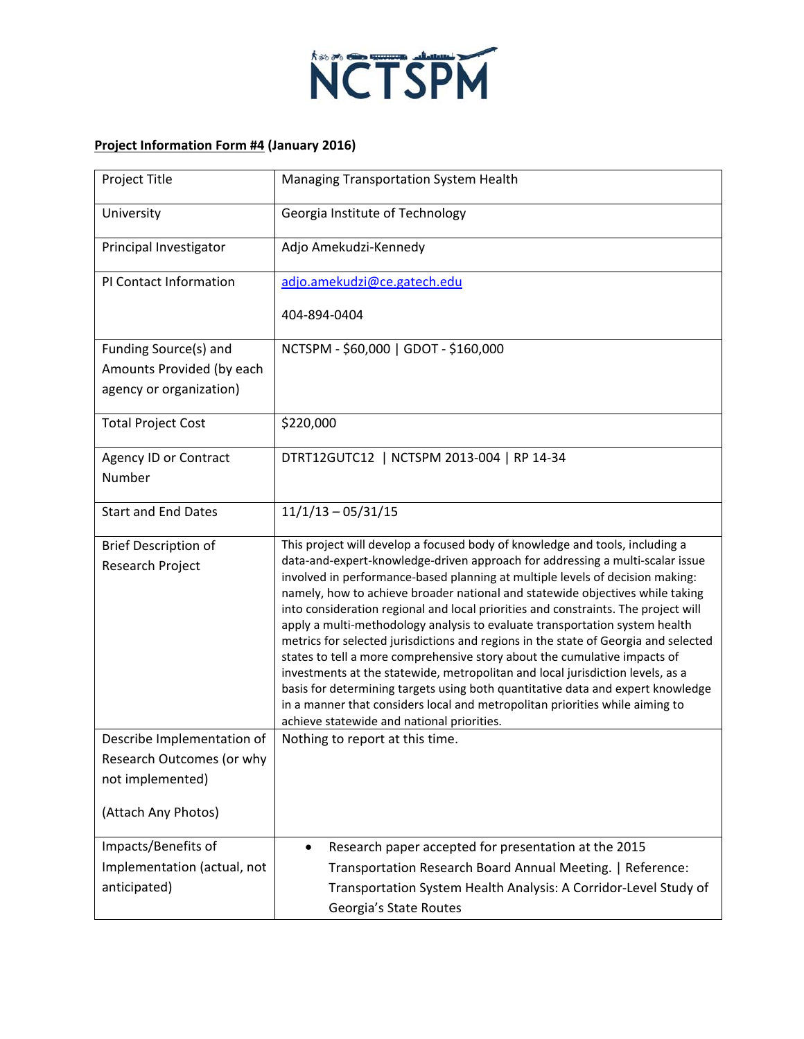

## **Project Information Form #4 (January 2016)**

| Project Title               | <b>Managing Transportation System Health</b>                                                                                                                        |
|-----------------------------|---------------------------------------------------------------------------------------------------------------------------------------------------------------------|
| University                  | Georgia Institute of Technology                                                                                                                                     |
| Principal Investigator      | Adjo Amekudzi-Kennedy                                                                                                                                               |
| PI Contact Information      | adjo.amekudzi@ce.gatech.edu                                                                                                                                         |
|                             | 404-894-0404                                                                                                                                                        |
| Funding Source(s) and       | NCTSPM - \$60,000   GDOT - \$160,000                                                                                                                                |
| Amounts Provided (by each   |                                                                                                                                                                     |
| agency or organization)     |                                                                                                                                                                     |
| <b>Total Project Cost</b>   | \$220,000                                                                                                                                                           |
| Agency ID or Contract       | DTRT12GUTC12   NCTSPM 2013-004   RP 14-34                                                                                                                           |
| Number                      |                                                                                                                                                                     |
|                             |                                                                                                                                                                     |
| <b>Start and End Dates</b>  | $11/1/13 - 05/31/15$                                                                                                                                                |
| <b>Brief Description of</b> | This project will develop a focused body of knowledge and tools, including a                                                                                        |
| Research Project            | data-and-expert-knowledge-driven approach for addressing a multi-scalar issue                                                                                       |
|                             | involved in performance-based planning at multiple levels of decision making:                                                                                       |
|                             | namely, how to achieve broader national and statewide objectives while taking<br>into consideration regional and local priorities and constraints. The project will |
|                             | apply a multi-methodology analysis to evaluate transportation system health                                                                                         |
|                             | metrics for selected jurisdictions and regions in the state of Georgia and selected                                                                                 |
|                             | states to tell a more comprehensive story about the cumulative impacts of                                                                                           |
|                             | investments at the statewide, metropolitan and local jurisdiction levels, as a                                                                                      |
|                             | basis for determining targets using both quantitative data and expert knowledge                                                                                     |
|                             | in a manner that considers local and metropolitan priorities while aiming to<br>achieve statewide and national priorities.                                          |
| Describe Implementation of  | Nothing to report at this time.                                                                                                                                     |
| Research Outcomes (or why   |                                                                                                                                                                     |
| not implemented)            |                                                                                                                                                                     |
|                             |                                                                                                                                                                     |
| (Attach Any Photos)         |                                                                                                                                                                     |
| Impacts/Benefits of         | Research paper accepted for presentation at the 2015<br>$\bullet$                                                                                                   |
| Implementation (actual, not | Transportation Research Board Annual Meeting.   Reference:                                                                                                          |
| anticipated)                | Transportation System Health Analysis: A Corridor-Level Study of                                                                                                    |
|                             | Georgia's State Routes                                                                                                                                              |